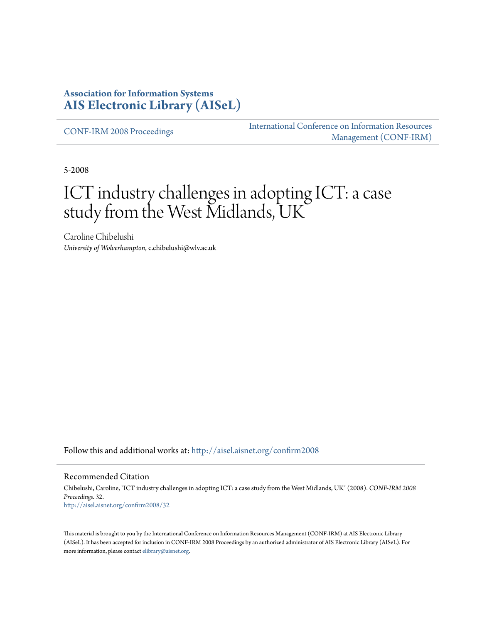## **Association for Information Systems [AIS Electronic Library \(AISeL\)](http://aisel.aisnet.org?utm_source=aisel.aisnet.org%2Fconfirm2008%2F32&utm_medium=PDF&utm_campaign=PDFCoverPages)**

[CONF-IRM 2008 Proceedings](http://aisel.aisnet.org/confirm2008?utm_source=aisel.aisnet.org%2Fconfirm2008%2F32&utm_medium=PDF&utm_campaign=PDFCoverPages)

[International Conference on Information Resources](http://aisel.aisnet.org/conf-irm?utm_source=aisel.aisnet.org%2Fconfirm2008%2F32&utm_medium=PDF&utm_campaign=PDFCoverPages) [Management \(CONF-IRM\)](http://aisel.aisnet.org/conf-irm?utm_source=aisel.aisnet.org%2Fconfirm2008%2F32&utm_medium=PDF&utm_campaign=PDFCoverPages)

5-2008

# ICT industry challenges in adopting ICT: a case study from the West Midlands, UK

Caroline Chibelushi *University of Wolverhampton*, c.chibelushi@wlv.ac.uk

Follow this and additional works at: [http://aisel.aisnet.org/confirm2008](http://aisel.aisnet.org/confirm2008?utm_source=aisel.aisnet.org%2Fconfirm2008%2F32&utm_medium=PDF&utm_campaign=PDFCoverPages)

#### Recommended Citation

Chibelushi, Caroline, "ICT industry challenges in adopting ICT: a case study from the West Midlands, UK" (2008). *CONF-IRM 2008 Proceedings*. 32. [http://aisel.aisnet.org/confirm2008/32](http://aisel.aisnet.org/confirm2008/32?utm_source=aisel.aisnet.org%2Fconfirm2008%2F32&utm_medium=PDF&utm_campaign=PDFCoverPages)

This material is brought to you by the International Conference on Information Resources Management (CONF-IRM) at AIS Electronic Library (AISeL). It has been accepted for inclusion in CONF-IRM 2008 Proceedings by an authorized administrator of AIS Electronic Library (AISeL). For more information, please contact [elibrary@aisnet.org.](mailto:elibrary@aisnet.org%3E)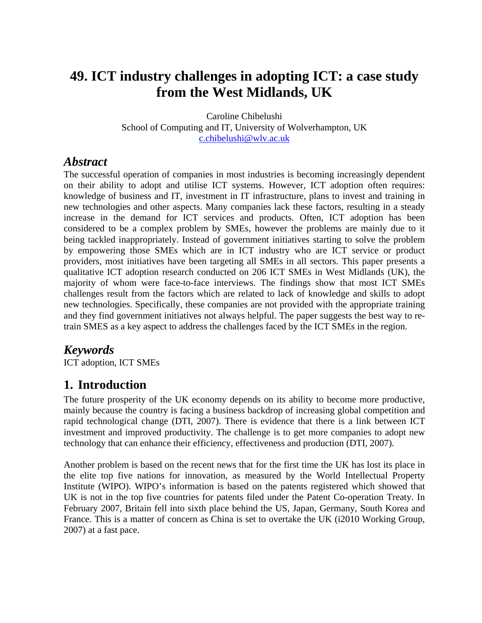## **49. ICT industry challenges in adopting ICT: a case study from the West Midlands, UK**

Caroline Chibelushi School of Computing and IT, University of Wolverhampton, UK c.chibelushi@wlv.ac.uk

### *Abstract*

The successful operation of companies in most industries is becoming increasingly dependent on their ability to adopt and utilise ICT systems. However, ICT adoption often requires: knowledge of business and IT, investment in IT infrastructure, plans to invest and training in new technologies and other aspects. Many companies lack these factors, resulting in a steady increase in the demand for ICT services and products. Often, ICT adoption has been considered to be a complex problem by SMEs, however the problems are mainly due to it being tackled inappropriately. Instead of government initiatives starting to solve the problem by empowering those SMEs which are in ICT industry who are ICT service or product providers, most initiatives have been targeting all SMEs in all sectors. This paper presents a qualitative ICT adoption research conducted on 206 ICT SMEs in West Midlands (UK), the majority of whom were face-to-face interviews. The findings show that most ICT SMEs challenges result from the factors which are related to lack of knowledge and skills to adopt new technologies. Specifically, these companies are not provided with the appropriate training and they find government initiatives not always helpful. The paper suggests the best way to retrain SMES as a key aspect to address the challenges faced by the ICT SMEs in the region.

### *Keywords*

ICT adoption, ICT SMEs

## **1. Introduction**

The future prosperity of the UK economy depends on its ability to become more productive, mainly because the country is facing a business backdrop of increasing global competition and rapid technological change (DTI, 2007). There is evidence that there is a link between ICT investment and improved productivity. The challenge is to get more companies to adopt new technology that can enhance their efficiency, effectiveness and production (DTI, 2007).

Another problem is based on the recent news that for the first time the UK has lost its place in the elite top five nations for innovation, as measured by the World Intellectual Property Institute (WIPO). WIPO's information is based on the patents registered which showed that UK is not in the top five countries for patents filed under the Patent Co-operation Treaty. In February 2007, Britain fell into sixth place behind the US, Japan, Germany, South Korea and France. This is a matter of concern as China is set to overtake the UK (i2010 Working Group, 2007) at a fast pace.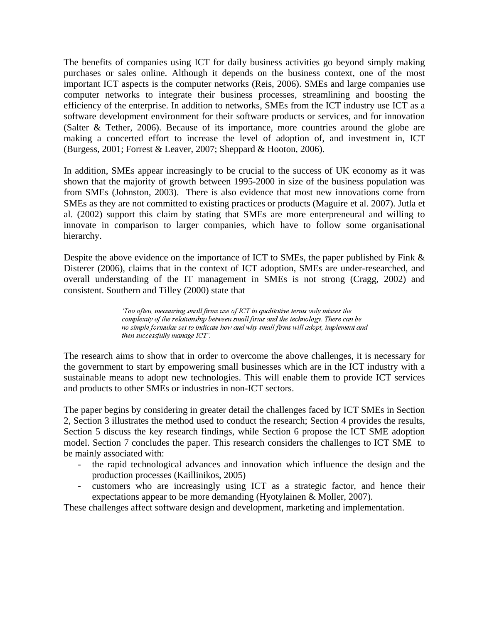The benefits of companies using ICT for daily business activities go beyond simply making purchases or sales online. Although it depends on the business context, one of the most important ICT aspects is the computer networks (Reis, 2006). SMEs and large companies use computer networks to integrate their business processes, streamlining and boosting the efficiency of the enterprise. In addition to networks, SMEs from the ICT industry use ICT as a software development environment for their software products or services, and for innovation (Salter & Tether, 2006). Because of its importance, more countries around the globe are making a concerted effort to increase the level of adoption of, and investment in, ICT (Burgess, 2001; Forrest & Leaver, 2007; Sheppard & Hooton, 2006).

In addition, SMEs appear increasingly to be crucial to the success of UK economy as it was shown that the majority of growth between 1995-2000 in size of the business population was from SMEs (Johnston, 2003). There is also evidence that most new innovations come from SMEs as they are not committed to existing practices or products (Maguire et al. 2007). Jutla et al. (2002) support this claim by stating that SMEs are more enterpreneural and willing to innovate in comparison to larger companies, which have to follow some organisational hierarchy.

Despite the above evidence on the importance of ICT to SMEs, the paper published by Fink & Disterer (2006), claims that in the context of ICT adoption, SMEs are under-researched, and overall understanding of the IT management in SMEs is not strong (Cragg, 2002) and consistent. Southern and Tilley (2000) state that

> 'Too often, measuring small firms use of ICT in qualitative terms only misses the complexity of the relationship between small firms and the technology. There can be no simple formulae set to indicate how and why small firms will adopt, implement and then successfully manage ICT'.

The research aims to show that in order to overcome the above challenges, it is necessary for the government to start by empowering small businesses which are in the ICT industry with a sustainable means to adopt new technologies. This will enable them to provide ICT services and products to other SMEs or industries in non-ICT sectors.

The paper begins by considering in greater detail the challenges faced by ICT SMEs in Section 2, Section 3 illustrates the method used to conduct the research; Section 4 provides the results, Section 5 discuss the key research findings, while Section 6 propose the ICT SME adoption model. Section 7 concludes the paper. This research considers the challenges to ICT SME to be mainly associated with:

- the rapid technological advances and innovation which influence the design and the production processes (Kaillinikos, 2005)
- customers who are increasingly using ICT as a strategic factor, and hence their expectations appear to be more demanding (Hyotylainen & Moller, 2007).

These challenges affect software design and development, marketing and implementation.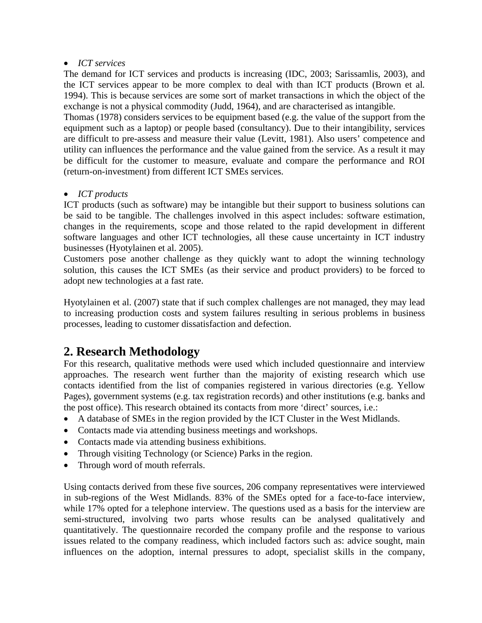#### • *ICT services*

The demand for ICT services and products is increasing (IDC, 2003; Sarissamlis, 2003), and the ICT services appear to be more complex to deal with than ICT products (Brown et al*.* 1994). This is because services are some sort of market transactions in which the object of the exchange is not a physical commodity (Judd, 1964), and are characterised as intangible.

Thomas (1978) considers services to be equipment based (e.g. the value of the support from the equipment such as a laptop) or people based (consultancy). Due to their intangibility, services are difficult to pre-assess and measure their value (Levitt, 1981). Also users' competence and utility can influences the performance and the value gained from the service. As a result it may be difficult for the customer to measure, evaluate and compare the performance and ROI (return-on-investment) from different ICT SMEs services.

#### • *ICT products*

ICT products (such as software) may be intangible but their support to business solutions can be said to be tangible. The challenges involved in this aspect includes: software estimation, changes in the requirements, scope and those related to the rapid development in different software languages and other ICT technologies, all these cause uncertainty in ICT industry businesses (Hyotylainen et al. 2005).

Customers pose another challenge as they quickly want to adopt the winning technology solution, this causes the ICT SMEs (as their service and product providers) to be forced to adopt new technologies at a fast rate.

Hyotylainen et al. (2007) state that if such complex challenges are not managed, they may lead to increasing production costs and system failures resulting in serious problems in business processes, leading to customer dissatisfaction and defection.

## **2. Research Methodology**

For this research, qualitative methods were used which included questionnaire and interview approaches. The research went further than the majority of existing research which use contacts identified from the list of companies registered in various directories (e.g. Yellow Pages), government systems (e.g. tax registration records) and other institutions (e.g. banks and the post office). This research obtained its contacts from more 'direct' sources, i.e.:

- A database of SMEs in the region provided by the ICT Cluster in the West Midlands.
- Contacts made via attending business meetings and workshops.
- Contacts made via attending business exhibitions.
- Through visiting Technology (or Science) Parks in the region.
- Through word of mouth referrals.

Using contacts derived from these five sources, 206 company representatives were interviewed in sub-regions of the West Midlands. 83% of the SMEs opted for a face-to-face interview, while 17% opted for a telephone interview. The questions used as a basis for the interview are semi-structured, involving two parts whose results can be analysed qualitatively and quantitatively. The questionnaire recorded the company profile and the response to various issues related to the company readiness, which included factors such as: advice sought, main influences on the adoption, internal pressures to adopt, specialist skills in the company,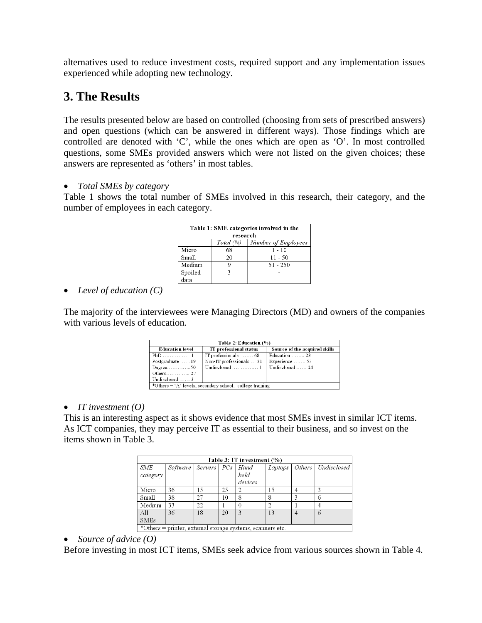alternatives used to reduce investment costs, required support and any implementation issues experienced while adopting new technology.

## **3. The Results**

The results presented below are based on controlled (choosing from sets of prescribed answers) and open questions (which can be answered in different ways). Those findings which are controlled are denoted with 'C', while the ones which are open as 'O'. In most controlled questions, some SMEs provided answers which were not listed on the given choices; these answers are represented as 'others' in most tables.

• *Total SMEs by category* 

Table 1 shows the total number of SMEs involved in this research, their category, and the number of employees in each category.

| Table 1: SME categories involved in the<br>research |            |                            |  |  |
|-----------------------------------------------------|------------|----------------------------|--|--|
|                                                     | Total $(%$ | <b>Number of Employees</b> |  |  |
| Micro                                               | 68         | $1 - 10$                   |  |  |
| Small                                               | 20         | $11 - 50$                  |  |  |
| Medium                                              |            | $51 - 250$                 |  |  |
| Spoiled                                             | ٦          |                            |  |  |
| i<br>ata                                            |            |                            |  |  |

#### • *Level of education (C)*

The majority of the interviewees were Managing Directors (MD) and owners of the companies with various levels of education.

| Table 2: Education (%)                                     |                          |                               |  |  |  |
|------------------------------------------------------------|--------------------------|-------------------------------|--|--|--|
| <b>Education level</b>                                     | IT professional status   | Source of the acquired skills |  |  |  |
|                                                            | IT professionals  68     | Education $\dots \dots 23$    |  |  |  |
| Postgraduate 19                                            | Non-IT professionals  31 | Experience $\dots$ 53         |  |  |  |
| $Degree$ 50                                                |                          | Undisclosed  24               |  |  |  |
| Others 27                                                  |                          |                               |  |  |  |
| Undisclosed 3                                              |                          |                               |  |  |  |
| *Others $=$ 'A' levels, secondary school, college training |                          |                               |  |  |  |

#### • *IT investment (O)*

This is an interesting aspect as it shows evidence that most SMEs invest in similar ICT items. As ICT companies, they may perceive IT as essential to their business, and so invest on the items shown in Table 3.

| Table 3: IT investment $(\% )$                             |          |                      |    |         |         |   |                      |
|------------------------------------------------------------|----------|----------------------|----|---------|---------|---|----------------------|
| <b>SME</b>                                                 | Software | Servers $ PCs $ Hand |    |         | Laptops |   | Others   Undisclosed |
| category                                                   |          |                      |    | held    |         |   |                      |
|                                                            |          |                      |    | devices |         |   |                      |
| Micro                                                      | 36       | 15                   | 25 |         | 15      |   |                      |
| Small                                                      | 38       | 27                   | 10 | 8       | 8       |   | n                    |
| Medium                                                     | 33       | 22                   |    |         | ∍       |   |                      |
| A11                                                        | 36       | 18                   | 20 | ٦       | 13      | 4 | 6                    |
| <b>SMEs</b>                                                |          |                      |    |         |         |   |                      |
| *Others = printer, external storage systems, scanners etc. |          |                      |    |         |         |   |                      |

#### • *Source of advice (O)*

Before investing in most ICT items, SMEs seek advice from various sources shown in Table 4.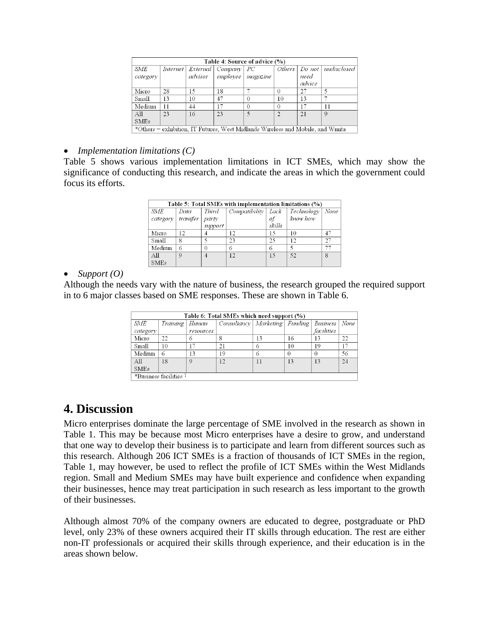| Table 4: Source of advice (%)                                                  |    |         |                                    |          |          |        |                               |
|--------------------------------------------------------------------------------|----|---------|------------------------------------|----------|----------|--------|-------------------------------|
| <b>SME</b>                                                                     |    |         | Internet   External   Company   PC |          |          |        | Others   Do not   undisclosed |
| category                                                                       |    | advisor | employee                           | magazine |          | need   |                               |
|                                                                                |    |         |                                    |          |          | advice |                               |
| Micro                                                                          | 28 | 15      | 18                                 |          | $\Omega$ | 27     |                               |
| Small                                                                          | 13 | 10      | 47                                 | $\Omega$ | 10       | 13     |                               |
| Medium                                                                         | 11 | 44      | 17                                 | $\Omega$ | $\Omega$ | 17     |                               |
| All                                                                            | 23 | 16      | 23                                 |          | $\gamma$ | 21     | 9                             |
| <b>SMEs</b>                                                                    |    |         |                                    |          |          |        |                               |
| *Others = exhibition, IT Futures, West Midlands Wireless and Mobile, and Wmita |    |         |                                    |          |          |        |                               |

#### • *Implementation limitations (C)*

Table 5 shows various implementation limitations in ICT SMEs, which may show the significance of conducting this research, and indicate the areas in which the government could focus its efforts.

| Table 5: Total SMEs with implementation limitations (%) |          |                |                    |        |            |      |
|---------------------------------------------------------|----------|----------------|--------------------|--------|------------|------|
| SME                                                     | Data     | <b>Third</b>   | Compatibility Lack |        | Technology | None |
| category                                                | transfer | party          |                    | of     | know how   |      |
|                                                         |          | support        |                    | skills |            |      |
| Micro                                                   | 12       |                | 12                 | 15     | 10         | -47  |
| Small                                                   | 8        |                | 23                 | 25     | 12         | 27   |
| Medium                                                  | 6        | 0              | 6                  | 6      |            |      |
| A11                                                     | $\Omega$ | $\overline{A}$ | 12                 | 15     | 52         | 8    |
| <b>SMEs</b>                                             |          |                |                    |        |            |      |

#### • *Support (O)*

Although the needs vary with the nature of business, the research grouped the required support in to 6 major classes based on SME responses. These are shown in Table 6.

|             | Table 6: Total SMEs which need support (%) |               |                                     |    |          |                 |      |
|-------------|--------------------------------------------|---------------|-------------------------------------|----|----------|-----------------|------|
| <b>SME</b>  | Training                                   | Human         | $Consultancy$   Marketing   Funding |    |          | <b>Business</b> | None |
| category    |                                            | resources     |                                     |    |          | facilities      |      |
| Micro       | 22                                         |               |                                     | 13 | 16       | 13              | 22   |
| Small       | 10                                         |               | 21                                  | O  | 10       | 19              |      |
| Medium      | 6                                          | 13            | 19                                  | 6  | $\theta$ |                 | 56   |
| $\rm{Al}$   | 18                                         | $\mathcal{O}$ | 12                                  | 11 | 13       | 13              | 24   |
| <b>SMEs</b> |                                            |               |                                     |    |          |                 |      |
|             | *Business facilities <sup>1</sup>          |               |                                     |    |          |                 |      |

## **4. Discussion**

Micro enterprises dominate the large percentage of SME involved in the research as shown in Table 1. This may be because most Micro enterprises have a desire to grow, and understand that one way to develop their business is to participate and learn from different sources such as this research. Although 206 ICT SMEs is a fraction of thousands of ICT SMEs in the region, Table 1, may however, be used to reflect the profile of ICT SMEs within the West Midlands region. Small and Medium SMEs may have built experience and confidence when expanding their businesses, hence may treat participation in such research as less important to the growth of their businesses.

Although almost 70% of the company owners are educated to degree, postgraduate or PhD level, only 23% of these owners acquired their IT skills through education. The rest are either non-IT professionals or acquired their skills through experience, and their education is in the areas shown below.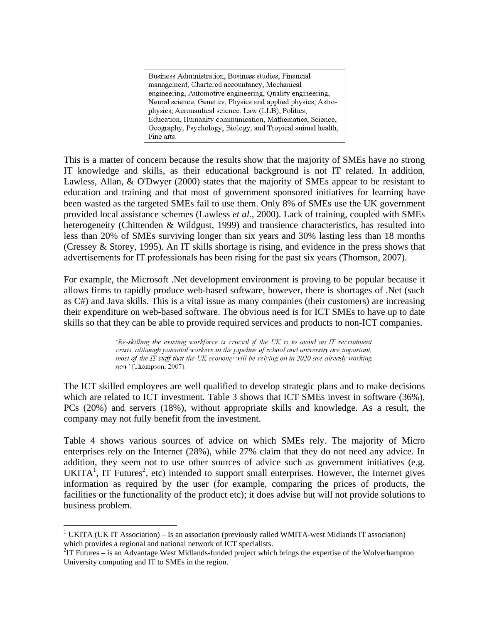Business Administration, Business studies, Financial management, Chartered accountancy, Mechanical engineering, Automotive engineering, Quality engineering, Neural science, Genetics, Physics and applied physics, Astrophysics, Aeronautical science, Law (LLB), Politics, Education, Humanity communication, Mathematics, Science, Geography, Psychology, Biology, and Tropical animal health, Fine arts.

This is a matter of concern because the results show that the majority of SMEs have no strong IT knowledge and skills, as their educational background is not IT related. In addition, Lawless, Allan, & O'Dwyer (2000) states that the majority of SMEs appear to be resistant to education and training and that most of government sponsored initiatives for learning have been wasted as the targeted SMEs fail to use them. Only 8% of SMEs use the UK government provided local assistance schemes (Lawless *et al*., 2000). Lack of training, coupled with SMEs heterogeneity (Chittenden & Wildgust, 1999) and transience characteristics, has resulted into less than 20% of SMEs surviving longer than six years and 30% lasting less than 18 months (Cressey & Storey, 1995). An IT skills shortage is rising, and evidence in the press shows that advertisements for IT professionals has been rising for the past six years (Thomson, 2007).

For example, the Microsoft .Net development environment is proving to be popular because it allows firms to rapidly produce web-based software, however, there is shortages of .Net (such as C#) and Java skills. This is a vital issue as many companies (their customers) are increasing their expenditure on web-based software. The obvious need is for ICT SMEs to have up to date skills so that they can be able to provide required services and products to non-ICT companies.

> 'Re-skilling the existing workforce is crucial if the UK is to avoid an IT recruitment crisis, although potential workers in the pipeline of school and university are important, most of the IT staff that the UK economy will be relying on in 2020 are already working now' (Thompson, 2007).

The ICT skilled employees are well qualified to develop strategic plans and to make decisions which are related to ICT investment. Table 3 shows that ICT SMEs invest in software (36%), PCs (20%) and servers (18%), without appropriate skills and knowledge. As a result, the company may not fully benefit from the investment.

Table 4 shows various sources of advice on which SMEs rely. The majority of Micro enterprises rely on the Internet (28%), while 27% claim that they do not need any advice. In addition, they seem not to use other sources of advice such as government initiatives (e.g. UKITA<sup>1</sup>, IT Futures<sup>2</sup>, etc) intended to support small enterprises. However, the Internet gives information as required by the user (for example, comparing the prices of products, the facilities or the functionality of the product etc); it does advise but will not provide solutions to business problem.

 $\overline{a}$ 

<sup>&</sup>lt;sup>1</sup> UKITA (UK IT Association) – Is an association (previously called WMITA-west Midlands IT association) which provides a regional and national network of ICT specialists.

 ${}^{2}$ IT Futures – is an Advantage West Midlands-funded project which brings the expertise of the Wolverhampton University computing and IT to SMEs in the region.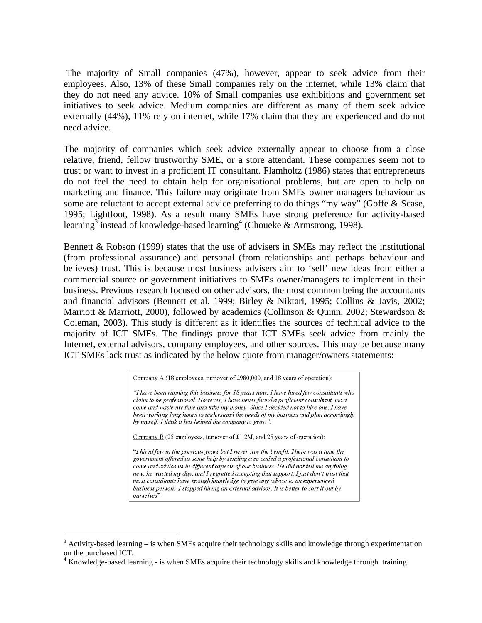The majority of Small companies (47%), however, appear to seek advice from their employees. Also, 13% of these Small companies rely on the internet, while 13% claim that they do not need any advice. 10% of Small companies use exhibitions and government set initiatives to seek advice. Medium companies are different as many of them seek advice externally (44%), 11% rely on internet, while 17% claim that they are experienced and do not need advice.

The majority of companies which seek advice externally appear to choose from a close relative, friend, fellow trustworthy SME, or a store attendant. These companies seem not to trust or want to invest in a proficient IT consultant. Flamholtz (1986) states that entrepreneurs do not feel the need to obtain help for organisational problems, but are open to help on marketing and finance. This failure may originate from SMEs owner managers behaviour as some are reluctant to accept external advice preferring to do things "my way" (Goffe & Scase, 1995; Lightfoot, 1998). As a result many SMEs have strong preference for activity-based learning<sup>3</sup> instead of knowledge-based learning<sup>4</sup> (Choueke & Armstrong, 1998).

Bennett & Robson (1999) states that the use of advisers in SMEs may reflect the institutional (from professional assurance) and personal (from relationships and perhaps behaviour and believes) trust. This is because most business advisers aim to 'sell' new ideas from either a commercial source or government initiatives to SMEs owner/managers to implement in their business. Previous research focused on other advisors, the most common being the accountants and financial advisors (Bennett et al. 1999; Birley & Niktari, 1995; Collins & Javis, 2002; Marriott & Marriott, 2000), followed by academics (Collinson & Quinn, 2002; Stewardson & Coleman, 2003). This study is different as it identifies the sources of technical advice to the majority of ICT SMEs. The findings prove that ICT SMEs seek advice from mainly the Internet, external advisors, company employees, and other sources. This may be because many ICT SMEs lack trust as indicated by the below quote from manager/owners statements:

Company A (18 employees, turnover of £980,000, and 18 years of operation):

"I have been running this business for 18 years now; I have hired few consultants who claim to be professional. However, I have never found a proficient consultant, most come and waste my time and take my money. Since I decided not to hire one, I have been working long hours to understand the needs of my business and plan accordingly by myself. I think it has helped the company to grow".

Company  $B(25 \text{ employees},$  turnover of £1.2M, and 25 years of operation):

"I hired few in the previous years but I never saw the benefit. There was a time the government offered us some help by sending a so called a professional consultant to come and advice us in different aspects of our business. He did not tell me anything new, he wasted my day, and I regretted accepting that support. I just don't trust that most consultants have enough knowledge to give any advice to an experienced business person. I stopped hiring an external advisor. It is better to sort it out by ourselves"

 $\overline{a}$ 

 $3$  Activity-based learning – is when SMEs acquire their technology skills and knowledge through experimentation on the purchased ICT.

<sup>&</sup>lt;sup>4</sup> Knowledge-based learning - is when SMEs acquire their technology skills and knowledge through training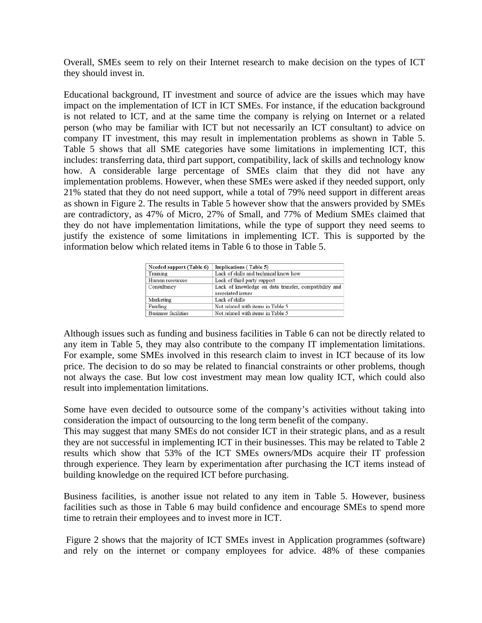Overall, SMEs seem to rely on their Internet research to make decision on the types of ICT they should invest in.

Educational background, IT investment and source of advice are the issues which may have impact on the implementation of ICT in ICT SMEs. For instance, if the education background is not related to ICT, and at the same time the company is relying on Internet or a related person (who may be familiar with ICT but not necessarily an ICT consultant) to advice on company IT investment, this may result in implementation problems as shown in Table 5. Table 5 shows that all SME categories have some limitations in implementing ICT, this includes: transferring data, third part support, compatibility, lack of skills and technology know how. A considerable large percentage of SMEs claim that they did not have any implementation problems. However, when these SMEs were asked if they needed support, only 21% stated that they do not need support, while a total of 79% need support in different areas as shown in Figure 2. The results in Table 5 however show that the answers provided by SMEs are contradictory, as 47% of Micro, 27% of Small, and 77% of Medium SMEs claimed that they do not have implementation limitations, while the type of support they need seems to justify the existence of some limitations in implementing ICT. This is supported by the information below which related items in Table 6 to those in Table 5.

| Needed support (Table 6) | Implications (Table 5)                                |
|--------------------------|-------------------------------------------------------|
| Training                 | Lack of skills and technical know how                 |
| Human resources          | Lack of third party support                           |
| Consultancy              | Lack of knowledge on data transfer, compatibility and |
|                          | associated issues                                     |
| Marketing                | Lack of skills                                        |
| Funding                  | Not related with items in Table 5                     |
| Business facilities      | Not related with items in Table 5                     |

Although issues such as funding and business facilities in Table 6 can not be directly related to any item in Table 5, they may also contribute to the company IT implementation limitations. For example, some SMEs involved in this research claim to invest in ICT because of its low price. The decision to do so may be related to financial constraints or other problems, though not always the case. But low cost investment may mean low quality ICT, which could also result into implementation limitations.

Some have even decided to outsource some of the company's activities without taking into consideration the impact of outsourcing to the long term benefit of the company.

This may suggest that many SMEs do not consider ICT in their strategic plans, and as a result they are not successful in implementing ICT in their businesses. This may be related to Table 2 results which show that 53% of the ICT SMEs owners/MDs acquire their IT profession through experience. They learn by experimentation after purchasing the ICT items instead of building knowledge on the required ICT before purchasing.

Business facilities, is another issue not related to any item in Table 5. However, business facilities such as those in Table 6 may build confidence and encourage SMEs to spend more time to retrain their employees and to invest more in ICT.

 Figure 2 shows that the majority of ICT SMEs invest in Application programmes (software) and rely on the internet or company employees for advice. 48% of these companies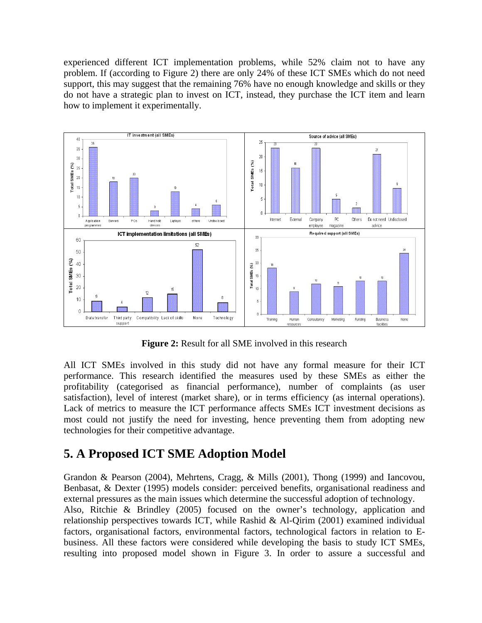experienced different ICT implementation problems, while 52% claim not to have any problem. If (according to Figure 2) there are only 24% of these ICT SMEs which do not need support, this may suggest that the remaining 76% have no enough knowledge and skills or they do not have a strategic plan to invest on ICT, instead, they purchase the ICT item and learn how to implement it experimentally.



**Figure 2:** Result for all SME involved in this research

All ICT SMEs involved in this study did not have any formal measure for their ICT performance. This research identified the measures used by these SMEs as either the profitability (categorised as financial performance), number of complaints (as user satisfaction), level of interest (market share), or in terms efficiency (as internal operations). Lack of metrics to measure the ICT performance affects SMEs ICT investment decisions as most could not justify the need for investing, hence preventing them from adopting new technologies for their competitive advantage.

## **5. A Proposed ICT SME Adoption Model**

Grandon & Pearson (2004), Mehrtens, Cragg, & Mills (2001), Thong (1999) and Iancovou, Benbasat, & Dexter (1995) models consider: perceived benefits, organisational readiness and external pressures as the main issues which determine the successful adoption of technology. Also, Ritchie & Brindley (2005) focused on the owner's technology, application and relationship perspectives towards ICT, while Rashid & Al-Qirim (2001) examined individual factors, organisational factors, environmental factors, technological factors in relation to Ebusiness. All these factors were considered while developing the basis to study ICT SMEs, resulting into proposed model shown in Figure 3. In order to assure a successful and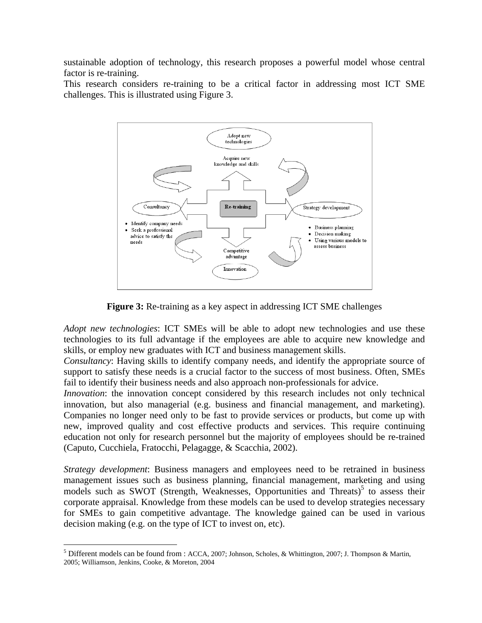sustainable adoption of technology, this research proposes a powerful model whose central factor is re-training.

This research considers re-training to be a critical factor in addressing most ICT SME challenges. This is illustrated using Figure 3.



**Figure 3:** Re-training as a key aspect in addressing ICT SME challenges

*Adopt new technologies*: ICT SMEs will be able to adopt new technologies and use these technologies to its full advantage if the employees are able to acquire new knowledge and skills, or employ new graduates with ICT and business management skills.

*Consultancy*: Having skills to identify company needs, and identify the appropriate source of support to satisfy these needs is a crucial factor to the success of most business. Often, SMEs fail to identify their business needs and also approach non-professionals for advice.

*Innovation*: the innovation concept considered by this research includes not only technical innovation, but also managerial (e.g. business and financial management, and marketing). Companies no longer need only to be fast to provide services or products, but come up with new, improved quality and cost effective products and services. This require continuing education not only for research personnel but the majority of employees should be re-trained (Caputo, Cucchiela, Fratocchi, Pelagagge, & Scacchia, 2002).

*Strategy development*: Business managers and employees need to be retrained in business management issues such as business planning, financial management, marketing and using models such as SWOT (Strength, Weaknesses, Opportunities and Threats)<sup>5</sup> to assess their corporate appraisal. Knowledge from these models can be used to develop strategies necessary for SMEs to gain competitive advantage. The knowledge gained can be used in various decision making (e.g. on the type of ICT to invest on, etc).

 $\overline{a}$ 

<sup>&</sup>lt;sup>5</sup> Different models can be found from : ACCA, 2007; Johnson, Scholes, & Whittington, 2007; J. Thompson & Martin, 2005; Williamson, Jenkins, Cooke, & Moreton, 2004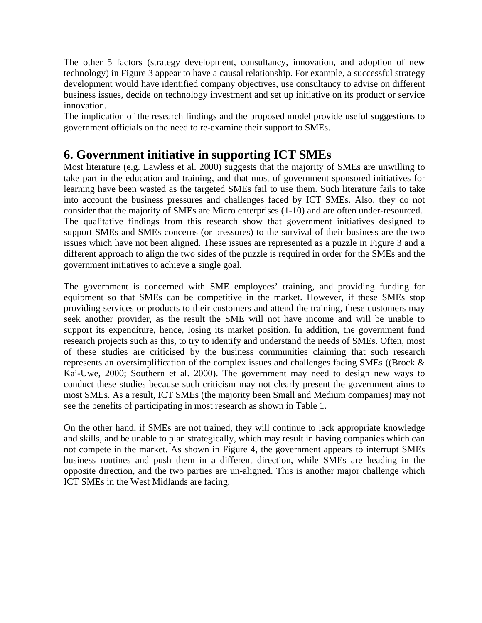The other 5 factors (strategy development, consultancy, innovation, and adoption of new technology) in Figure 3 appear to have a causal relationship. For example, a successful strategy development would have identified company objectives, use consultancy to advise on different business issues, decide on technology investment and set up initiative on its product or service innovation.

The implication of the research findings and the proposed model provide useful suggestions to government officials on the need to re-examine their support to SMEs.

## **6. Government initiative in supporting ICT SMEs**

Most literature (e.g. Lawless et al. 2000) suggests that the majority of SMEs are unwilling to take part in the education and training, and that most of government sponsored initiatives for learning have been wasted as the targeted SMEs fail to use them. Such literature fails to take into account the business pressures and challenges faced by ICT SMEs. Also, they do not consider that the majority of SMEs are Micro enterprises (1-10) and are often under-resourced. The qualitative findings from this research show that government initiatives designed to support SMEs and SMEs concerns (or pressures) to the survival of their business are the two issues which have not been aligned. These issues are represented as a puzzle in Figure 3 and a different approach to align the two sides of the puzzle is required in order for the SMEs and the government initiatives to achieve a single goal.

The government is concerned with SME employees' training, and providing funding for equipment so that SMEs can be competitive in the market. However, if these SMEs stop providing services or products to their customers and attend the training, these customers may seek another provider, as the result the SME will not have income and will be unable to support its expenditure, hence, losing its market position. In addition, the government fund research projects such as this, to try to identify and understand the needs of SMEs. Often, most of these studies are criticised by the business communities claiming that such research represents an oversimplification of the complex issues and challenges facing SMEs ((Brock & Kai-Uwe, 2000; Southern et al. 2000). The government may need to design new ways to conduct these studies because such criticism may not clearly present the government aims to most SMEs. As a result, ICT SMEs (the majority been Small and Medium companies) may not see the benefits of participating in most research as shown in Table 1.

On the other hand, if SMEs are not trained, they will continue to lack appropriate knowledge and skills, and be unable to plan strategically, which may result in having companies which can not compete in the market. As shown in Figure 4, the government appears to interrupt SMEs business routines and push them in a different direction, while SMEs are heading in the opposite direction, and the two parties are un-aligned. This is another major challenge which ICT SMEs in the West Midlands are facing.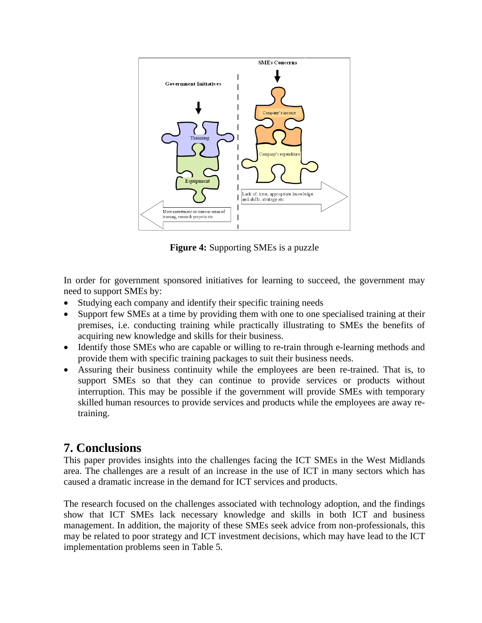

**Figure 4:** Supporting SMEs is a puzzle

In order for government sponsored initiatives for learning to succeed, the government may need to support SMEs by:

- Studying each company and identify their specific training needs
- Support few SMEs at a time by providing them with one to one specialised training at their premises, i.e. conducting training while practically illustrating to SMEs the benefits of acquiring new knowledge and skills for their business.
- Identify those SMEs who are capable or willing to re-train through e-learning methods and provide them with specific training packages to suit their business needs.
- Assuring their business continuity while the employees are been re-trained. That is, to support SMEs so that they can continue to provide services or products without interruption. This may be possible if the government will provide SMEs with temporary skilled human resources to provide services and products while the employees are away retraining.

## **7. Conclusions**

This paper provides insights into the challenges facing the ICT SMEs in the West Midlands area. The challenges are a result of an increase in the use of ICT in many sectors which has caused a dramatic increase in the demand for ICT services and products.

The research focused on the challenges associated with technology adoption, and the findings show that ICT SMEs lack necessary knowledge and skills in both ICT and business management. In addition, the majority of these SMEs seek advice from non-professionals, this may be related to poor strategy and ICT investment decisions, which may have lead to the ICT implementation problems seen in Table 5.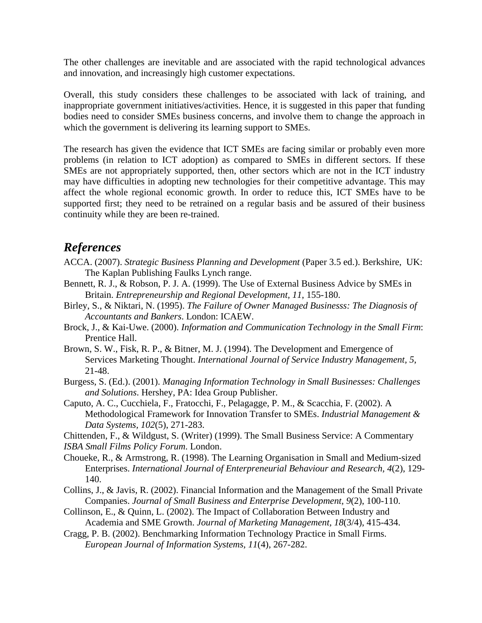The other challenges are inevitable and are associated with the rapid technological advances and innovation, and increasingly high customer expectations.

Overall, this study considers these challenges to be associated with lack of training, and inappropriate government initiatives/activities. Hence, it is suggested in this paper that funding bodies need to consider SMEs business concerns, and involve them to change the approach in which the government is delivering its learning support to SMEs.

The research has given the evidence that ICT SMEs are facing similar or probably even more problems (in relation to ICT adoption) as compared to SMEs in different sectors. If these SMEs are not appropriately supported, then, other sectors which are not in the ICT industry may have difficulties in adopting new technologies for their competitive advantage. This may affect the whole regional economic growth. In order to reduce this, ICT SMEs have to be supported first; they need to be retrained on a regular basis and be assured of their business continuity while they are been re-trained.

## *References*

- ACCA. (2007). *Strategic Business Planning and Development* (Paper 3.5 ed.). Berkshire, UK: The Kaplan Publishing Faulks Lynch range.
- Bennett, R. J., & Robson, P. J. A. (1999). The Use of External Business Advice by SMEs in Britain. *Entrepreneurship and Regional Development, 11*, 155-180.
- Birley, S., & Niktari, N. (1995). *The Failure of Owner Managed Businesss: The Diagnosis of Accountants and Bankers*. London: ICAEW.
- Brock, J., & Kai-Uwe. (2000). *Information and Communication Technology in the Small Firm*: Prentice Hall.
- Brown, S. W., Fisk, R. P., & Bitner, M. J. (1994). The Development and Emergence of Services Marketing Thought. *International Journal of Service Industry Management, 5*, 21-48.
- Burgess, S. (Ed.). (2001). *Managing Information Technology in Small Businesses: Challenges and Solutions*. Hershey, PA: Idea Group Publisher.
- Caputo, A. C., Cucchiela, F., Fratocchi, F., Pelagagge, P. M., & Scacchia, F. (2002). A Methodological Framework for Innovation Transfer to SMEs. *Industrial Management & Data Systems, 102*(5), 271-283.

Chittenden, F., & Wildgust, S. (Writer) (1999). The Small Business Service: A Commentary *ISBA Small Films Policy Forum*. London.

- Choueke, R., & Armstrong, R. (1998). The Learning Organisation in Small and Medium-sized Enterprises. *International Journal of Enterpreneurial Behaviour and Research, 4*(2), 129- 140.
- Collins, J., & Javis, R. (2002). Financial Information and the Management of the Small Private Companies. *Journal of Small Business and Enterprise Development, 9*(2), 100-110.
- Collinson, E., & Quinn, L. (2002). The Impact of Collaboration Between Industry and Academia and SME Growth. *Journal of Marketing Management, 18*(3/4), 415-434.
- Cragg, P. B. (2002). Benchmarking Information Technology Practice in Small Firms. *European Journal of Information Systems, 11*(4), 267-282.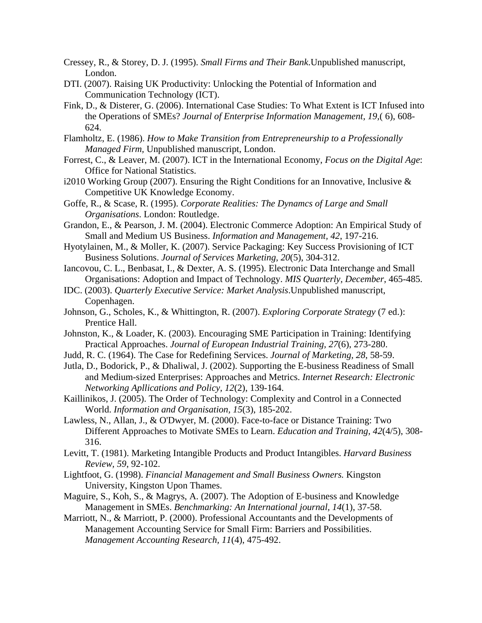- Cressey, R., & Storey, D. J. (1995). *Small Firms and Their Bank*.Unpublished manuscript, London.
- DTI. (2007). Raising UK Productivity: Unlocking the Potential of Information and Communication Technology (ICT).
- Fink, D., & Disterer, G. (2006). International Case Studies: To What Extent is ICT Infused into the Operations of SMEs? *Journal of Enterprise Information Management, 19,*( 6), 608- 624.
- Flamholtz, E. (1986). *How to Make Transition from Entrepreneurship to a Professionally Managed Firm,* Unpublished manuscript, London.
- Forrest, C., & Leaver, M. (2007). ICT in the International Economy, *Focus on the Digital Age*: Office for National Statistics.
- i2010 Working Group (2007). Ensuring the Right Conditions for an Innovative, Inclusive & Competitive UK Knowledge Economy.
- Goffe, R., & Scase, R. (1995). *Corporate Realities: The Dynamcs of Large and Small Organisations*. London: Routledge.
- Grandon, E., & Pearson, J. M. (2004). Electronic Commerce Adoption: An Empirical Study of Small and Medium US Business. *Information and Management, 42*, 197-216.
- Hyotylainen, M., & Moller, K. (2007). Service Packaging: Key Success Provisioning of ICT Business Solutions. *Journal of Services Marketing, 20*(5), 304-312.
- Iancovou, C. L., Benbasat, I., & Dexter, A. S. (1995). Electronic Data Interchange and Small Organisations: Adoption and Impact of Technology. *MIS Quarterly, December*, 465-485.
- IDC. (2003). *Quarterly Executive Service: Market Analysis*.Unpublished manuscript, Copenhagen.
- Johnson, G., Scholes, K., & Whittington, R. (2007). *Exploring Corporate Strategy* (7 ed.): Prentice Hall.
- Johnston, K., & Loader, K. (2003). Encouraging SME Participation in Training: Identifying Practical Approaches. *Journal of European Industrial Training, 27*(6), 273-280.
- Judd, R. C. (1964). The Case for Redefining Services. *Journal of Marketing, 28*, 58-59.
- Jutla, D., Bodorick, P., & Dhaliwal, J. (2002). Supporting the E-business Readiness of Small and Medium-sized Enterprises: Approaches and Metrics. *Internet Research: Electronic Networking Apllications and Policy, 12*(2), 139-164.
- Kaillinikos, J. (2005). The Order of Technology: Complexity and Control in a Connected World. *Information and Organisation, 15*(3), 185-202.
- Lawless, N., Allan, J., & O'Dwyer, M. (2000). Face-to-face or Distance Training: Two Different Approaches to Motivate SMEs to Learn. *Education and Training, 42*(4/5), 308- 316.
- Levitt, T. (1981). Marketing Intangible Products and Product Intangibles. *Harvard Business Review, 59*, 92-102.
- Lightfoot, G. (1998). *Financial Management and Small Business Owners.* Kingston University, Kingston Upon Thames.
- Maguire, S., Koh, S., & Magrys, A. (2007). The Adoption of E-business and Knowledge Management in SMEs. *Benchmarking: An International journal, 14*(1), 37-58.
- Marriott, N., & Marriott, P. (2000). Professional Accountants and the Developments of Management Accounting Service for Small Firm: Barriers and Possibilities. *Management Accounting Research, 11*(4), 475-492.